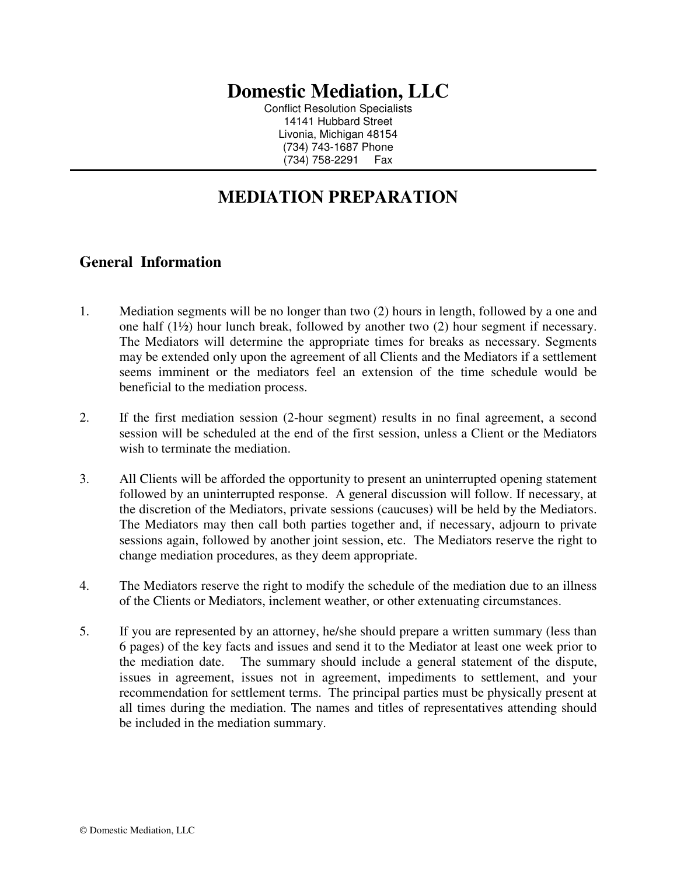## **Domestic Mediation, LLC**

Conflict Resolution Specialists 14141 Hubbard Street Livonia, Michigan 48154 (734) 743-1687 Phone (734) 758-2291 Fax

## **MEDIATION PREPARATION**

## **General Information**

- 1. Mediation segments will be no longer than two (2) hours in length, followed by a one and one half (1½) hour lunch break, followed by another two (2) hour segment if necessary. The Mediators will determine the appropriate times for breaks as necessary. Segments may be extended only upon the agreement of all Clients and the Mediators if a settlement seems imminent or the mediators feel an extension of the time schedule would be beneficial to the mediation process.
- 2. If the first mediation session (2-hour segment) results in no final agreement, a second session will be scheduled at the end of the first session, unless a Client or the Mediators wish to terminate the mediation.
- 3. All Clients will be afforded the opportunity to present an uninterrupted opening statement followed by an uninterrupted response. A general discussion will follow. If necessary, at the discretion of the Mediators, private sessions (caucuses) will be held by the Mediators. The Mediators may then call both parties together and, if necessary, adjourn to private sessions again, followed by another joint session, etc. The Mediators reserve the right to change mediation procedures, as they deem appropriate.
- 4. The Mediators reserve the right to modify the schedule of the mediation due to an illness of the Clients or Mediators, inclement weather, or other extenuating circumstances.
- 5. If you are represented by an attorney, he/she should prepare a written summary (less than 6 pages) of the key facts and issues and send it to the Mediator at least one week prior to the mediation date. The summary should include a general statement of the dispute, issues in agreement, issues not in agreement, impediments to settlement, and your recommendation for settlement terms. The principal parties must be physically present at all times during the mediation. The names and titles of representatives attending should be included in the mediation summary.